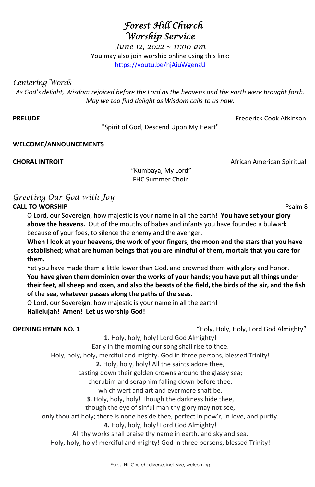# *Forest Hill Church Worship Service*

*June 12, 2022 ~ 11:00 am* You may also join worship online using this link: <https://youtu.be/hjAiuWgenzU>

*Centering Words* 

*As God's delight, Wisdom rejoiced before the Lord as the heavens and the earth were brought forth. May we too find delight as Wisdom calls to us now.*

**PRELUDE** Frederick Cook Atkinson

"Spirit of God, Descend Upon My Heart"

### **WELCOME/ANNOUNCEMENTS**

"Kumbaya, My Lord" FHC Summer Choir

## *Greeting Our God with Joy* **CALL TO WORSHIP** Psalm 8

O Lord, our Sovereign, how majestic is your name in all the earth! **You have set your glory above the heavens.** Out of the mouths of babes and infants you have founded a bulwark because of your foes, to silence the enemy and the avenger.

**When I look at your heavens, the work of your fingers, the moon and the stars that you have established; what are human beings that you are mindful of them, mortals that you care for them.**

Yet you have made them a little lower than God, and crowned them with glory and honor.

**You have given them dominion over the works of your hands; you have put all things under their feet, all sheep and oxen, and also the beasts of the field, the birds of the air, and the fish of the sea, whatever passes along the paths of the seas.** 

O Lord, our Sovereign, how majestic is your name in all the earth!

**Hallelujah! Amen! Let us worship God!**

**OPENING HYMN NO. 1 OPENING HYMN NO. 1 COPENING** Holy, Holy, Holy, Lord God Almighty"

**1.** Holy, holy, holy! Lord God Almighty!

Early in the morning our song shall rise to thee.

Holy, holy, holy, merciful and mighty. God in three persons, blessed Trinity! **2.** Holy, holy, holy! All the saints adore thee, casting down their golden crowns around the glassy sea; cherubim and seraphim falling down before thee, which wert and art and evermore shalt be. **3.** Holy, holy, holy! Though the darkness hide thee, though the eye of sinful man thy glory may not see, only thou art holy; there is none beside thee, perfect in pow'r, in love, and purity. **4.** Holy, holy, holy! Lord God Almighty! All thy works shall praise thy name in earth, and sky and sea. Holy, holy, holy! merciful and mighty! God in three persons, blessed Trinity!

**CHORAL INTROIT CHORAL INTROIT African American Spiritual**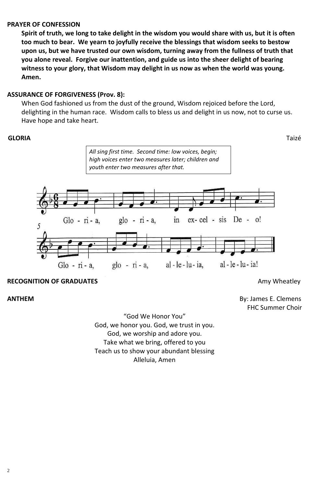### **PRAYER OF CONFESSION**

**Spirit of truth, we long to take delight in the wisdom you would share with us, but it is often too much to bear. We yearn to joyfully receive the blessings that wisdom seeks to bestow upon us, but we have trusted our own wisdom, turning away from the fullness of truth that you alone reveal. Forgive our inattention, and guide us into the sheer delight of bearing witness to your glory, that Wisdom may delight in us now as when the world was young. Amen.**

### **ASSURANCE OF FORGIVENESS (Prov. 8):**

When God fashioned us from the dust of the ground, Wisdom rejoiced before the Lord, delighting in the human race. Wisdom calls to bless us and delight in us now, not to curse us. Have hope and take heart.

#### **GLORIA**Taizé

**ANTHEM** By: James E. Clemens FHC Summer Choir

> "God We Honor You" God, we honor you. God, we trust in you. God, we worship and adore you. Take what we bring, offered to you Teach us to show your abundant blessing

#### Alleluia, Amen



### **RECOGNITION OF GRADUATES Amy Wheatley Amy Wheatley**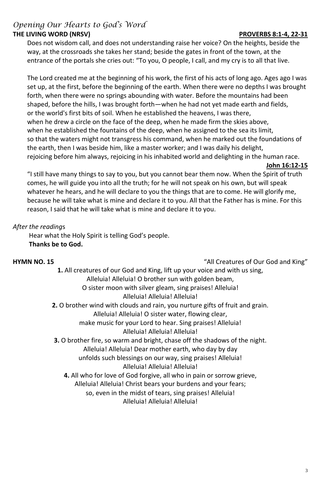## *Opening Our Hearts to God's Word* THE LIVING WORD (NRSV) **PROVERBS 8:1-4, 22-31**

Does not wisdom call, and does not understanding raise her voice? On the heights, beside the way, at the crossroads she takes her stand; beside the gates in front of the town, at the entrance of the portals she cries out: "To you, O people, I call, and my cry is to all that live.

The Lord created me at the beginning of his work, the first of his acts of long ago. Ages ago I was set up, at the first, before the beginning of the earth. When there were no depths I was brought forth, when there were no springs abounding with water. Before the mountains had been shaped, before the hills, I was brought forth—when he had not yet made earth and fields, or the world's first bits of soil. When he established the heavens, I was there, when he drew a circle on the face of the deep, when he made firm the skies above, when he established the fountains of the deep, when he assigned to the sea its limit, so that the waters might not transgress his command, when he marked out the foundations of the earth, then I was beside him, like a master worker; and I was daily his delight, rejoicing before him always, rejoicing in his inhabited world and delighting in the human race.

#### **John 16:12-15**

"I still have many things to say to you, but you cannot bear them now. When the Spirit of truth comes, he will guide you into all the truth; for he will not speak on his own, but will speak whatever he hears, and he will declare to you the things that are to come. He will glorify me, because he will take what is mine and declare it to you. All that the Father has is mine. For this reason, I said that he will take what is mine and declare it to you.

### *After the reading*s

Hear what the Holy Spirit is telling God's people. **Thanks be to God.**

### **HYMN NO. 15** "All Creatures of Our God and King"

**1.** All creatures of our God and King, lift up your voice and with us sing,

- Alleluia! Alleluia! O brother sun with golden beam,
- O sister moon with silver gleam, sing praises! Alleluia! Alleluia! Alleluia! Alleluia!
- **2.** O brother wind with clouds and rain, you nurture gifts of fruit and grain.

Alleluia! Alleluia! O sister water, flowing clear,

make music for your Lord to hear. Sing praises! Alleluia! Alleluia! Alleluia! Alleluia!

**3.** O brother fire, so warm and bright, chase off the shadows of the night.

Alleluia! Alleluia! Dear mother earth, who day by day

unfolds such blessings on our way, sing praises! Alleluia!

# Alleluia! Alleluia! Alleluia!

**4.** All who for love of God forgive, all who in pain or sorrow grieve, Alleluia! Alleluia! Christ bears your burdens and your fears; so, even in the midst of tears, sing praises! Alleluia! Alleluia! Alleluia! Alleluia!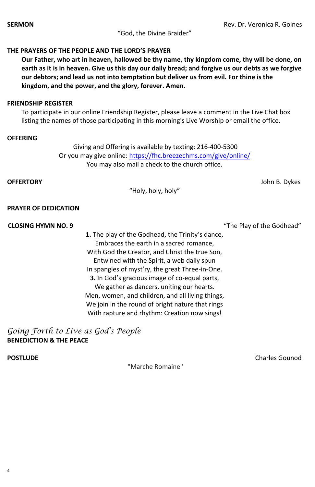"God, the Divine Braider"

#### **THE PRAYERS OF THE PEOPLE AND THE LORD'S PRAYER**

**Our Father, who art in heaven, hallowed be thy name, thy kingdom come, thy will be done, on earth as it is in heaven. Give us this day our daily bread; and forgive us our debts as we forgive our debtors; and lead us not into temptation but deliver us from evil. For thine is the kingdom, and the power, and the glory, forever. Amen.**

#### **FRIENDSHIP REGISTER**

To participate in our online Friendship Register, please leave a comment in the Live Chat box listing the names of those participating in this morning's Live Worship or email the office.

#### **OFFERING**

Giving and [Offering is available by texting: 216-400-5300](https://www.fhcpresb.org/social-justice-outreach/stewardship-2015/giving/#paypal) Or you may give online:<https://fhc.breezechms.com/give/online/> You may also mail a check to the church office.

**OFFERTORY** John B. Dykes

"Holy, holy, holy"

#### **PRAYER OF DEDICATION**

#### **CLOSING HYMN NO. 9** "The Play of the Godhead"

- **1.** The play of the Godhead, the Trinity's dance, Embraces the earth in a sacred romance, With God the Creator, and Christ the true Son, Entwined with the Spirit, a web daily spun In spangles of myst'ry, the great Three-in-One.
- **3.** In God's gracious image of co-equal parts, We gather as dancers, uniting our hearts. Men, women, and children, and all living things, We join in the round of bright nature that rings With rapture and rhythm: Creation now sings!

*Going Forth to Live as God's People* **BENEDICTION & THE PEACE**

**POSTLUDE Charles Gounod Charles Gounod** 

#### "Marche Romaine"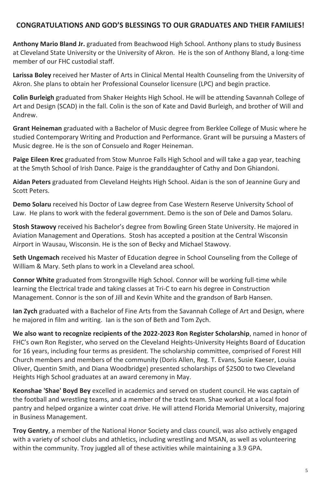### **CONGRATULATIONS AND GOD'S BLESSINGS TO OUR GRADUATES AND THEIR FAMILIES!**

**Anthony Mario Bland Jr.** graduated from Beachwood High School. Anthony plans to study Business at Cleveland State University or the University of Akron. He is the son of Anthony Bland, a long-time member of our FHC custodial staff.

**Larissa Boley** received her Master of Arts in Clinical Mental Health Counseling from the University of Akron. She plans to obtain her Professional Counselor licensure (LPC) and begin practice.

**Colin Burleigh** graduated from Shaker Heights High School. He will be attending Savannah College of Art and Design (SCAD) in the fall. Colin is the son of Kate and David Burleigh, and brother of Will and Andrew.

**Grant Heineman** graduated with a Bachelor of Music degree from Berklee College of Music where he studied Contemporary Writing and Production and Performance. Grant will be pursuing a Masters of Music degree. He is the son of Consuelo and Roger Heineman.

**Paige Eileen Krec** graduated from Stow Munroe Falls High School and will take a gap year, teaching at the Smyth School of Irish Dance. Paige is the granddaughter of Cathy and Don Ghiandoni.

**Aidan Peters** graduated from Cleveland Heights High School. Aidan is the son of Jeannine Gury and Scott Peters.

**Demo Solaru** received his Doctor of Law degree from Case Western Reserve University School of Law. He plans to work with the federal government. Demo is the son of Dele and Damos Solaru.

**Stosh Stawovy** received his Bachelor's degree from Bowling Green State University. He majored in Aviation Management and Operations. Stosh has accepted a position at the Central Wisconsin Airport in Wausau, Wisconsin. He is the son of Becky and Michael Stawovy.

**Seth Ungemach** received his Master of Education degree in School Counseling from the College of William & Mary. Seth plans to work in a Cleveland area school.

**Connor White** graduated from Strongsville High School. Connor will be working full-time while learning the Electrical trade and taking classes at Tri-C to earn his degree in Construction Management. Connor is the son of Jill and Kevin White and the grandson of Barb Hansen.

**Ian Zych** graduated with a Bachelor of Fine Arts from the Savannah College of Art and Design, where he majored in film and writing. Ian is the son of Beth and Tom Zych.

**We also want to recognize recipients of the 2022-2023 Ron Register Scholarship**, named in honor of FHC's own Ron Register, who served on the Cleveland Heights-University Heights Board of Education for 16 years, including four terms as president. The scholarship committee, comprised of Forest Hill Church members and members of the community (Doris Allen, Reg. T. Evans, Susie Kaeser, Louisa Oliver, Quentin Smith, and Diana Woodbridge) presented scholarships of \$2500 to two Cleveland Heights High School graduates at an award ceremony in May.

**Keonshae 'Shae' Boyd Bey** excelled in academics and served on student council. He was captain of the football and wrestling teams, and a member of the track team. Shae worked at a local food pantry and helped organize a winter coat drive. He will attend Florida Memorial University, majoring in Business Management.

**Troy Gentry**, a member of the National Honor Society and class council, was also actively engaged with a variety of school clubs and athletics, including wrestling and MSAN, as well as volunteering within the community. Troy juggled all of these activities while maintaining a 3.9 GPA.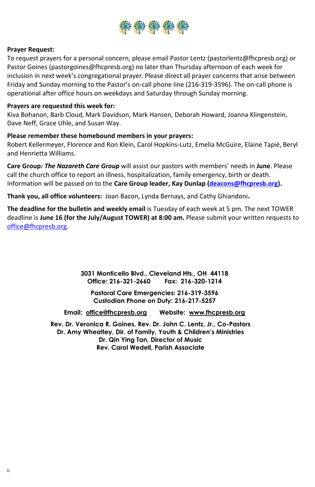![](_page_5_Picture_0.jpeg)

#### **Prayer Request:**

To request prayers for a personal concern, please email Pastor Lentz [\(pastorlentz@fhcpresb.org\)](file://///fhcserver2019/data/Worship%20Services/2022%20Bulletins/pastorlentz@fhcpresb.org) or Pastor Goines [\(pastorgoines@fhcpresb.org\) no later than Thursday afternoon of each week for](mailto:pastorgoines@fhcpresb.org) inclusion in next week's congregational prayer. Please direct all prayer concerns that arise between Friday and Sunday morning to the Pastor's on-call phone line (216-319-3596). The on-call phone is operational after office hours on weekdays and Saturday through Sunday morning.

#### **Prayers are requested this week for:**

Kiva Bohanon, Barb Cloud, Mark Davidson, Mark Hansen, Deborah Howard, Joanna Klingenstein, Dave Neff, Grace Uhle, and Susan Way.

### **Please remember these homebound members in your prayers:**

Robert Kellermeyer, Florence and Ron Klein, Carol Hopkins-Lutz, Emelia McGuire, Elaine Tapié, Beryl and Henrietta Williams.

**Care Group***: The Nazareth Care Group* will assist our pastors with members' needs in **June**. Please call the church office to report an illness, hospitalization, family emergency, birth or death. Information will be passed on to the **Care Group leader, Kay Dunlap [\(deacons@fhcpresb.org\)](mailto:deacons@fhcpresb.org).** 

**Thank you, all office volunteers:** Joan Bacon, Lynda Bernays, and Cathy Ghiandoni**.** 

**The deadline for the bulletin and weekly email** is Tuesday of each week at 5 pm. The next TOWER deadline is **June 16 (for the July/August TOWER) at 8:00 am.** Please submit your written requests to [office@fhcpresb.org.](mailto:office@fhcpresb.org)

> **3031 Monticello Blvd., Cleveland Hts., OH 44118 Office: 216-321-2660 Fax: 216-320-1214**

**Pastoral Care Emergencies: 216-319-3596 Custodian Phone on Duty: 216-217-5257**

**Email: [office@fhcpresb.org](mailto:office@fhcpresb.org) Website: [www.fhcpresb.org](http://www.fhcpresb.org/)**

**Rev. Dr. Veronica R. Goines, Rev. Dr. John C. Lentz, Jr., Co-Pastors Dr. Amy Wheatley, Dir. of Family, Youth & Children's Ministries Dr. Qin Ying Tan, Director of Music Rev. Carol Wedell, Parish Associate**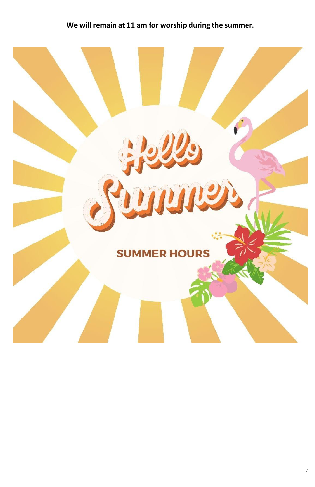# **We will remain at 11 am for worship during the summer.**

![](_page_6_Picture_1.jpeg)